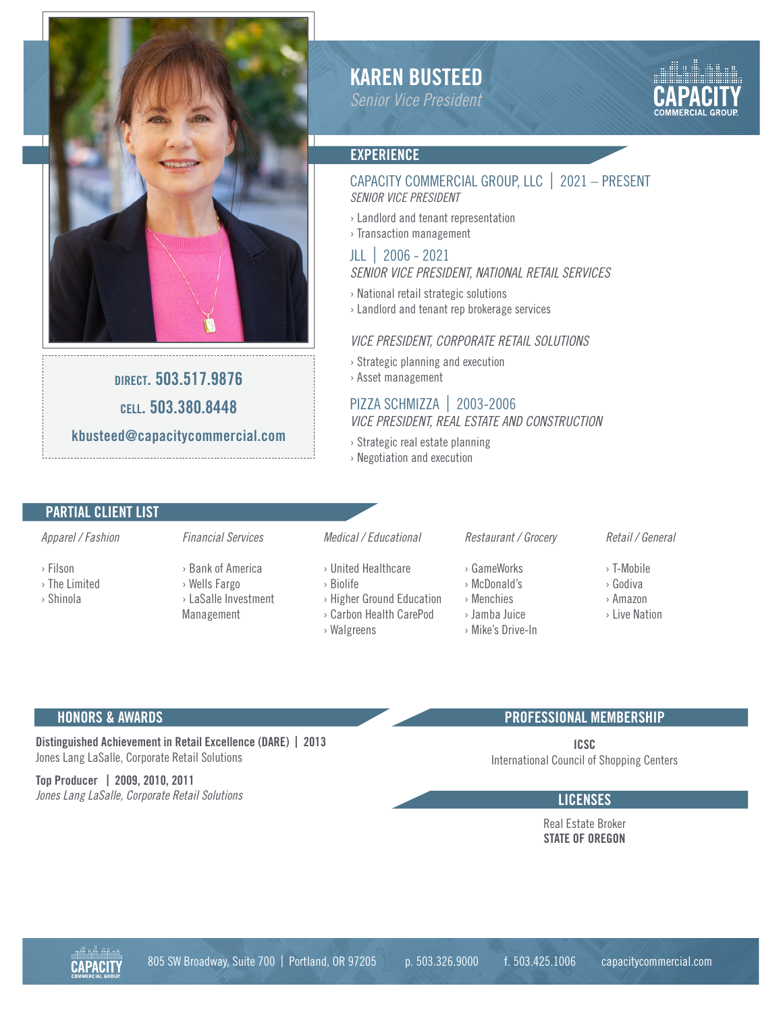

direct. 503.517.9876 cell. 503.380.8448 kbusteed@capacitycommercial.com

# KAREN BUSTEED

*Senior Vice President*



#### **EXPERIENCE**

## CAPACITY COMMERCIAL GROUP, LLC | 2021 – PRESENT *SENIOR VICE PRESIDENT*

› Landlord and tenant representation › Transaction management

#### JLL | 2006 - 2021 *SENIOR VICE PRESIDENT, NATIONAL RETAIL SERVICES*

- › National retail strategic solutions
- › Landlord and tenant rep brokerage services

#### *VICE PRESIDENT, CORPORATE RETAIL SOLUTIONS*

› Strategic planning and execution › Asset management

## PIZZA SCHMIZZA | 2003-2006 *VICE PRESIDENT, REAL ESTATE AND CONSTRUCTION*

- › Strategic real estate planning
- › Negotiation and execution

### PARTIAL CLIENT LIST

#### *Apparel / Fashion*

- › Filson
- › The Limited
- › Shinola
- 

*Financial Services*

- › Bank of America › Wells Fargo
	- › LaSalle Investment Management

## *Medical / Educational*

- › United Healthcare
- › Biolife
- › Higher Ground Education › Carbon Health CarePod
- › Walgreens
- *Restaurant / Grocery*

## › GameWorks

- › McDonald's
- › Menchies
- › Jamba Juice
- › Mike's Drive-In

#### *Retail / General*

- › T-Mobile
- › Godiva
- › Amazon
- › Live Nation

#### HONORS & AWARDS

Distinguished Achievement in Retail Excellence (DARE) | 2013 Jones Lang LaSalle, Corporate Retail Solutions

Top Producer | 2009, 2010, 2011 *Jones Lang LaSalle, Corporate Retail Solutions* Language Corporate Retail Solutions Language Corporate Retail Solutions

#### PROFESSIONAL MEMBERSHIP

ICSC International Council of Shopping Centers

Real Estate Broker STATE OF OREGON